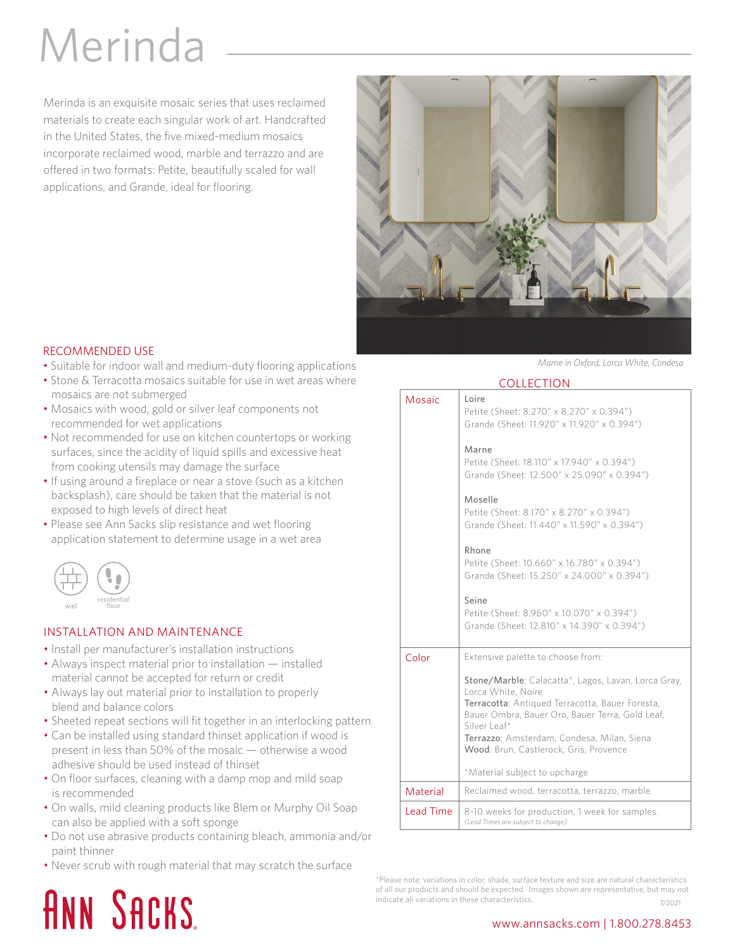## Merinda

Merinda is an exquisite mosaic series that uses reclaimed materials to create each singular work of art. Handcrafted in the United States, the five mixed-medium mosaics incorporate reclaimed wood, marble and terrazzo and are offered in two formats: Petite, beautifully scaled for wall applications, and Grande, ideal for flooring.



### RECOMMENDED USE

- Suitable for indoor wall and medium-duty flooring applications
- Stone & Terracotta mosaics suitable for use in wet areas where mosaics are not submerged
- Mosaics with wood, gold or silver leaf components not recommended for wet applications
- Not recommended for use on kitchen countertops or working surfaces, since the acidity of liquid spills and excessive heat from cooking utensils may damage the surface
- If using around a fireplace or near a stove (such as a kitchen backsplash), care should be taken that the material is not exposed to high levels of direct heat
- Please see Ann Sacks slip resistance and wet flooring application statement to determine usage in a wet area



### INSTALLATION AND MAINTENANCE

- Install per manufacturer's installation instructions
- Always inspect material prior to installation installed material cannot be accepted for return or credit
- Always lay out material prior to installation to properly blend and balance colors
- Sheeted repeat sections will fit together in an interlocking pattern
- Can be installed using standard thinset application if wood is present in less than 50% of the mosaic — otherwise a wood adhesive should be used instead of thinset
- On floor surfaces, cleaning with a damp mop and mild soap is recommended
- On walls, mild cleaning products like Blem or Murphy Oil Soap can also be applied with a soft sponge
- Do not use abrasive products containing bleach, ammonia and/or paint thinner
- Never scrub with rough material that may scratch the surface

### *Marne in Oxford, Lorca White, Condesa*

|--|

| <b>COLLECTION</b> |                                                                                                                                                                                                                                                                                         |
|-------------------|-----------------------------------------------------------------------------------------------------------------------------------------------------------------------------------------------------------------------------------------------------------------------------------------|
| Mosaic            | l oire<br>Petite (Sheet: 8.270" x 8.270" x 0.394")<br>Grande (Sheet: 11.920" x 11.920" x 0.394")<br>Marne                                                                                                                                                                               |
|                   | Petite (Sheet: 18.110" x 17.940" x 0.394")<br>Grande (Sheet: 12.500" x 25.090" x 0.394")                                                                                                                                                                                                |
|                   | Moselle<br>Petite (Sheet: 8.170" x 8.270" x 0.394")<br>Grande (Sheet: 11.440" x 11.590" x 0.394")                                                                                                                                                                                       |
|                   | Rhone<br>Petite (Sheet: 10.660" x 16.780" x 0.394")<br>Grande (Sheet: 15.250" x 24.000" x 0.394")                                                                                                                                                                                       |
|                   | Seine<br>Petite (Sheet: 8.960" x 10.070" x 0.394")<br>Grande (Sheet: 12.810" x 14.390" x 0.394")                                                                                                                                                                                        |
| Color             | Extensive palette to choose from:                                                                                                                                                                                                                                                       |
|                   | Stone/Marble: Calacatta*, Lagos, Lavan, Lorca Gray,<br>Lorca White, Noire<br>Terracotta: Antiqued Terracotta, Bauer Foresta,<br>Bauer Ombra, Bauer Oro, Bauer Terra, Gold Leaf,<br>Silver Leaf*<br>Terrazzo: Amsterdam, Condesa, Milan, Siena<br>Wood: Brun, Castlerock, Gris, Provence |
|                   | *Material subject to upcharge                                                                                                                                                                                                                                                           |
| Material          | Reclaimed wood, terracotta, terrazzo, marble                                                                                                                                                                                                                                            |
| <b>Lead Time</b>  | 8-10 weeks for production, 1 week for samples.<br>(Lead Times are subject to change)                                                                                                                                                                                                    |

\*Please note: variations in color, shade, surface texture and size are natural characteristics of all our products and should be expected. Images shown are representative, but may not indicate all variations in these characteristics.<br>
7/2021

## **ANN SACKS**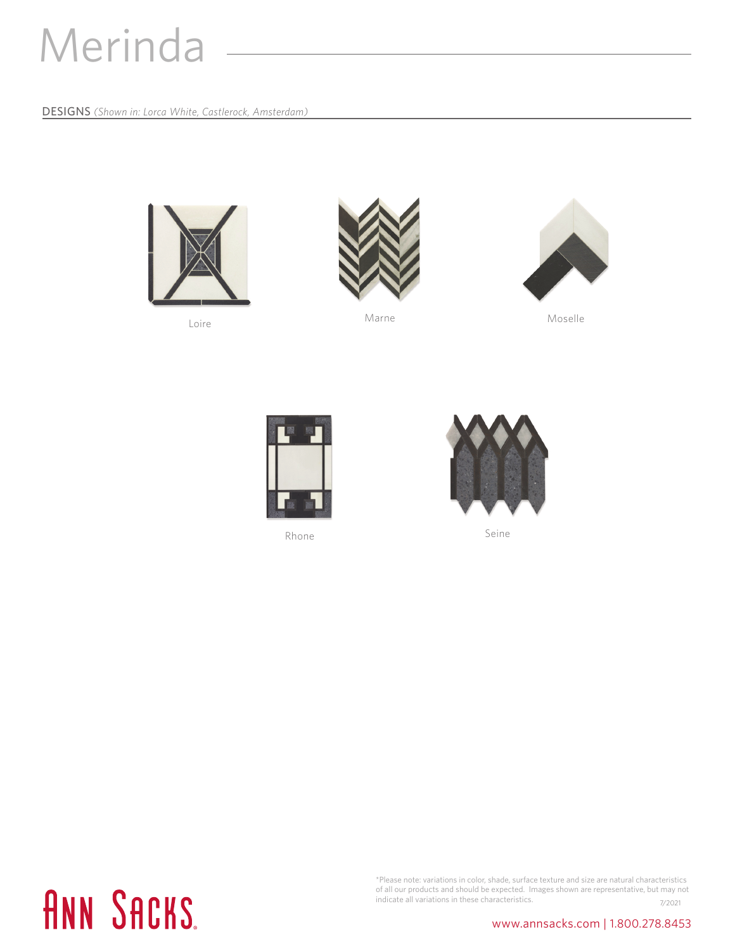## Merinda

DESIGNS *(Shown in: Lorca White, Castlerock, Amsterdam)*



Loire



Marne Moselle





Rhone Seine



# **ANN SACKS.**

\*Please note: variations in color, shade, surface texture and size are natural characteristics of all our products and should be expected. Images shown are representative, but may not indicate all variations in these characteristics. The matrix of the matrix of  $\frac{7}{2021}$